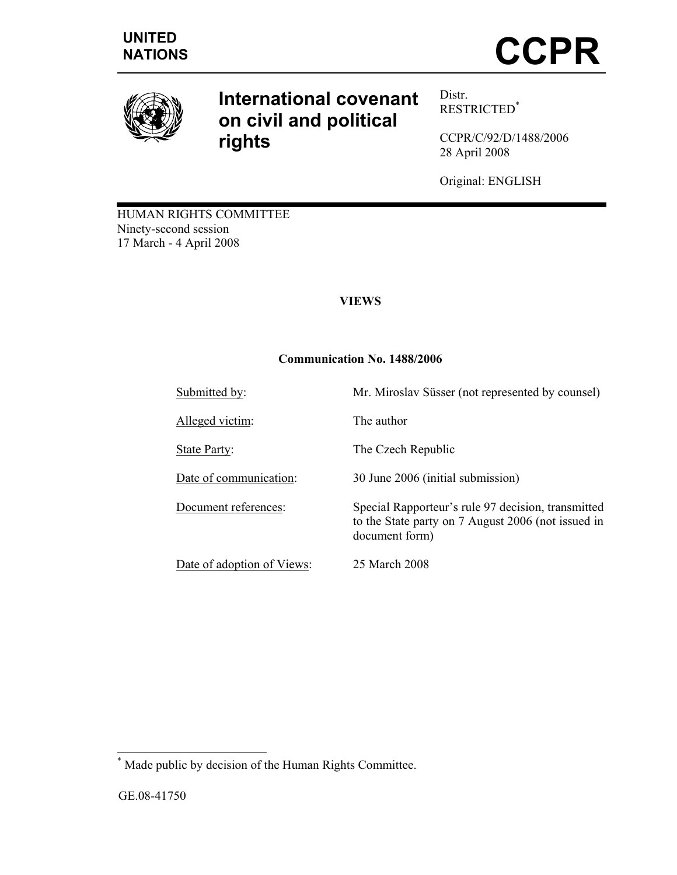

# **International covenant on civil and political rights**

Distr. RESTRICTED\*

CCPR/C/92/D/1488/2006 28 April 2008

Original: ENGLISH

HUMAN RIGHTS COMMITTEE Ninety-second session 17 March - 4 April 2008

# **VIEWS**

# **Communication No. 1488/2006**

| Submitted by:              | Mr. Miroslav Süsser (not represented by counsel)                                                                           |
|----------------------------|----------------------------------------------------------------------------------------------------------------------------|
| Alleged victim:            | The author                                                                                                                 |
| <b>State Party:</b>        | The Czech Republic                                                                                                         |
| Date of communication:     | 30 June 2006 (initial submission)                                                                                          |
| Document references:       | Special Rapporteur's rule 97 decision, transmitted<br>to the State party on 7 August 2006 (not issued in<br>document form) |
| Date of adoption of Views: | 25 March 2008                                                                                                              |

 \* Made public by decision of the Human Rights Committee.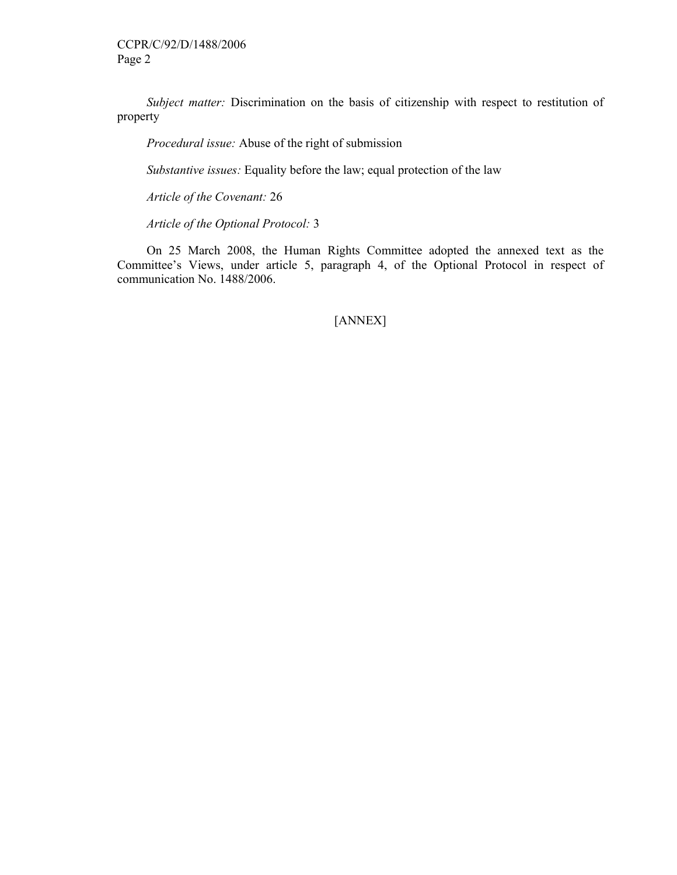*Subject matter:* Discrimination on the basis of citizenship with respect to restitution of property

 *Procedural issue:* Abuse of the right of submission

 *Substantive issues:* Equality before the law; equal protection of the law

 *Article of the Covenant:* 26

 *Article of the Optional Protocol:* 3

 On 25 March 2008, the Human Rights Committee adopted the annexed text as the Committee's Views, under article 5, paragraph 4, of the Optional Protocol in respect of communication No. 1488/2006.

[ANNEX]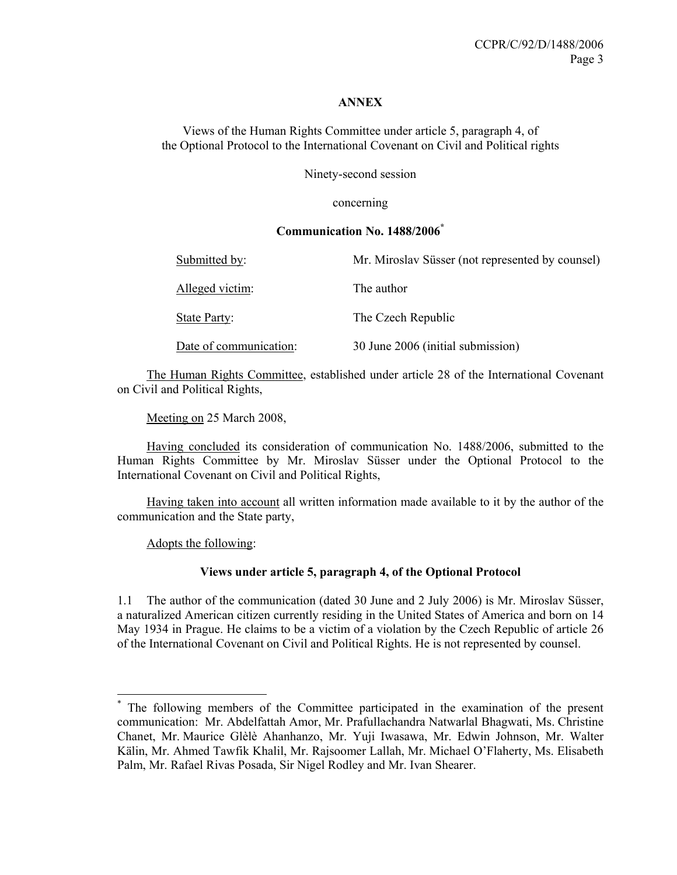#### **ANNEX**

Views of the Human Rights Committee under article 5, paragraph 4, of the Optional Protocol to the International Covenant on Civil and Political rights

Ninety-second session

concerning

## **Communication No. 1488/2006\***

| Submitted by:          | Mr. Miroslav Süsser (not represented by counsel) |
|------------------------|--------------------------------------------------|
| Alleged victim:        | The author                                       |
| State Party:           | The Czech Republic                               |
| Date of communication: | 30 June 2006 (initial submission)                |

 The Human Rights Committee, established under article 28 of the International Covenant on Civil and Political Rights,

Meeting on 25 March 2008,

 Having concluded its consideration of communication No. 1488/2006, submitted to the Human Rights Committee by Mr. Miroslav Süsser under the Optional Protocol to the International Covenant on Civil and Political Rights,

 Having taken into account all written information made available to it by the author of the communication and the State party,

Adopts the following:

 $\overline{a}$ 

# **Views under article 5, paragraph 4, of the Optional Protocol**

1.1 The author of the communication (dated 30 June and 2 July 2006) is Mr. Miroslav Süsser, a naturalized American citizen currently residing in the United States of America and born on 14 May 1934 in Prague. He claims to be a victim of a violation by the Czech Republic of article 26 of the International Covenant on Civil and Political Rights. He is not represented by counsel.

<sup>\*</sup> The following members of the Committee participated in the examination of the present communication: Mr. Abdelfattah Amor, Mr. Prafullachandra Natwarlal Bhagwati, Ms. Christine Chanet, Mr. Maurice Glèlè Ahanhanzo, Mr. Yuji Iwasawa, Mr. Edwin Johnson, Mr. Walter Kälin, Mr. Ahmed Tawfik Khalil, Mr. Rajsoomer Lallah, Mr. Michael O'Flaherty, Ms. Elisabeth Palm, Mr. Rafael Rivas Posada, Sir Nigel Rodley and Mr. Ivan Shearer.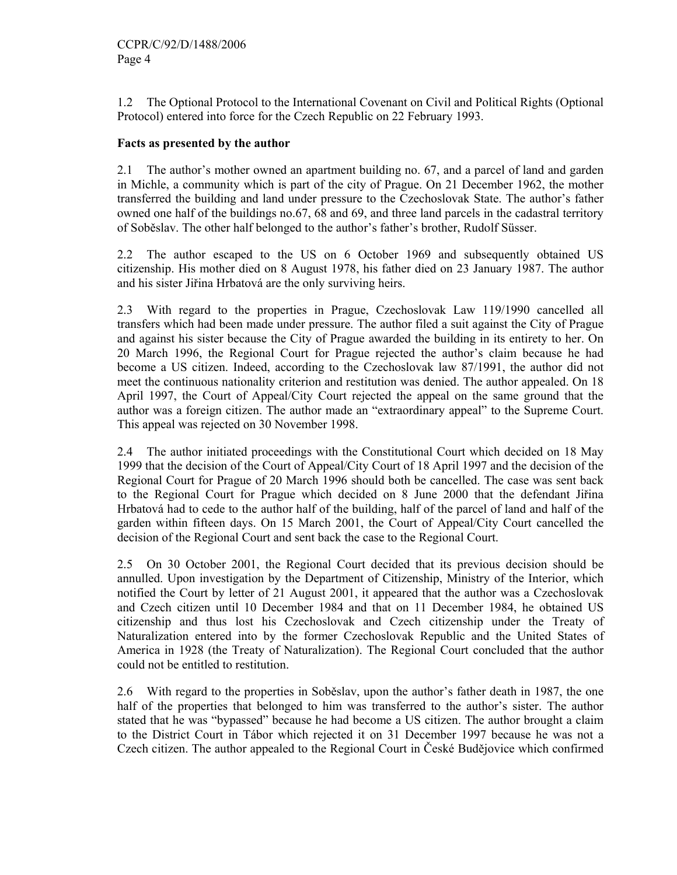1.2 The Optional Protocol to the International Covenant on Civil and Political Rights (Optional Protocol) entered into force for the Czech Republic on 22 February 1993.

# **Facts as presented by the author**

2.1 The author's mother owned an apartment building no. 67, and a parcel of land and garden in Michle, a community which is part of the city of Prague. On 21 December 1962, the mother transferred the building and land under pressure to the Czechoslovak State. The author's father owned one half of the buildings no.67, 68 and 69, and three land parcels in the cadastral territory of Soběslav. The other half belonged to the author's father's brother, Rudolf Süsser.

2.2 The author escaped to the US on 6 October 1969 and subsequently obtained US citizenship. His mother died on 8 August 1978, his father died on 23 January 1987. The author and his sister Jiřina Hrbatová are the only surviving heirs.

2.3 With regard to the properties in Prague, Czechoslovak Law 119/1990 cancelled all transfers which had been made under pressure. The author filed a suit against the City of Prague and against his sister because the City of Prague awarded the building in its entirety to her. On 20 March 1996, the Regional Court for Prague rejected the author's claim because he had become a US citizen. Indeed, according to the Czechoslovak law 87/1991, the author did not meet the continuous nationality criterion and restitution was denied. The author appealed. On 18 April 1997, the Court of Appeal/City Court rejected the appeal on the same ground that the author was a foreign citizen. The author made an "extraordinary appeal" to the Supreme Court. This appeal was rejected on 30 November 1998.

2.4 The author initiated proceedings with the Constitutional Court which decided on 18 May 1999 that the decision of the Court of Appeal/City Court of 18 April 1997 and the decision of the Regional Court for Prague of 20 March 1996 should both be cancelled. The case was sent back to the Regional Court for Prague which decided on 8 June 2000 that the defendant Jiřina Hrbatová had to cede to the author half of the building, half of the parcel of land and half of the garden within fifteen days. On 15 March 2001, the Court of Appeal/City Court cancelled the decision of the Regional Court and sent back the case to the Regional Court.

2.5 On 30 October 2001, the Regional Court decided that its previous decision should be annulled. Upon investigation by the Department of Citizenship, Ministry of the Interior, which notified the Court by letter of 21 August 2001, it appeared that the author was a Czechoslovak and Czech citizen until 10 December 1984 and that on 11 December 1984, he obtained US citizenship and thus lost his Czechoslovak and Czech citizenship under the Treaty of Naturalization entered into by the former Czechoslovak Republic and the United States of America in 1928 (the Treaty of Naturalization). The Regional Court concluded that the author could not be entitled to restitution.

2.6 With regard to the properties in Soběslav, upon the author's father death in 1987, the one half of the properties that belonged to him was transferred to the author's sister. The author stated that he was "bypassed" because he had become a US citizen. The author brought a claim to the District Court in Tábor which rejected it on 31 December 1997 because he was not a Czech citizen. The author appealed to the Regional Court in České Budějovice which confirmed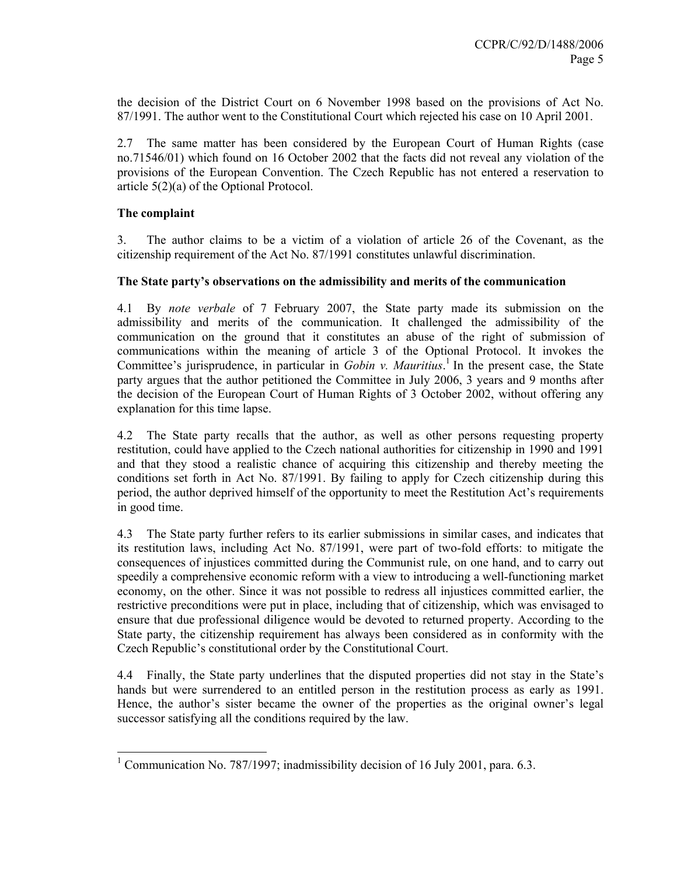the decision of the District Court on 6 November 1998 based on the provisions of Act No. 87/1991. The author went to the Constitutional Court which rejected his case on 10 April 2001.

2.7 The same matter has been considered by the European Court of Human Rights (case no.71546/01) which found on 16 October 2002 that the facts did not reveal any violation of the provisions of the European Convention. The Czech Republic has not entered a reservation to article 5(2)(a) of the Optional Protocol.

# **The complaint**

3. The author claims to be a victim of a violation of article 26 of the Covenant, as the citizenship requirement of the Act No. 87/1991 constitutes unlawful discrimination.

## **The State party's observations on the admissibility and merits of the communication**

4.1 By *note verbale* of 7 February 2007, the State party made its submission on the admissibility and merits of the communication. It challenged the admissibility of the communication on the ground that it constitutes an abuse of the right of submission of communications within the meaning of article 3 of the Optional Protocol. It invokes the Committee's jurisprudence, in particular in *Gobin v. Mauritius*.<sup>1</sup> In the present case, the State party argues that the author petitioned the Committee in July 2006, 3 years and 9 months after the decision of the European Court of Human Rights of 3 October 2002, without offering any explanation for this time lapse.

4.2 The State party recalls that the author, as well as other persons requesting property restitution, could have applied to the Czech national authorities for citizenship in 1990 and 1991 and that they stood a realistic chance of acquiring this citizenship and thereby meeting the conditions set forth in Act No. 87/1991. By failing to apply for Czech citizenship during this period, the author deprived himself of the opportunity to meet the Restitution Act's requirements in good time.

4.3 The State party further refers to its earlier submissions in similar cases, and indicates that its restitution laws, including Act No. 87/1991, were part of two-fold efforts: to mitigate the consequences of injustices committed during the Communist rule, on one hand, and to carry out speedily a comprehensive economic reform with a view to introducing a well-functioning market economy, on the other. Since it was not possible to redress all injustices committed earlier, the restrictive preconditions were put in place, including that of citizenship, which was envisaged to ensure that due professional diligence would be devoted to returned property. According to the State party, the citizenship requirement has always been considered as in conformity with the Czech Republic's constitutional order by the Constitutional Court.

4.4 Finally, the State party underlines that the disputed properties did not stay in the State's hands but were surrendered to an entitled person in the restitution process as early as 1991. Hence, the author's sister became the owner of the properties as the original owner's legal successor satisfying all the conditions required by the law.

<sup>&</sup>lt;sup>1</sup> Communication No. 787/1997; inadmissibility decision of 16 July 2001, para. 6.3.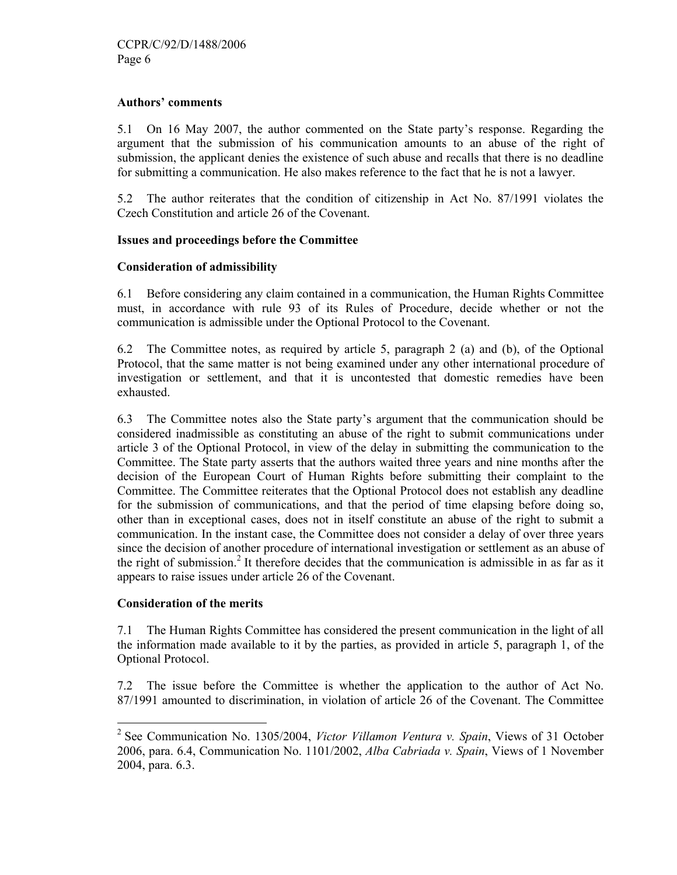## **Authors' comments**

5.1 On 16 May 2007, the author commented on the State party's response. Regarding the argument that the submission of his communication amounts to an abuse of the right of submission, the applicant denies the existence of such abuse and recalls that there is no deadline for submitting a communication. He also makes reference to the fact that he is not a lawyer.

5.2 The author reiterates that the condition of citizenship in Act No. 87/1991 violates the Czech Constitution and article 26 of the Covenant.

# **Issues and proceedings before the Committee**

## **Consideration of admissibility**

6.1 Before considering any claim contained in a communication, the Human Rights Committee must, in accordance with rule 93 of its Rules of Procedure, decide whether or not the communication is admissible under the Optional Protocol to the Covenant.

6.2 The Committee notes, as required by article 5, paragraph 2 (a) and (b), of the Optional Protocol, that the same matter is not being examined under any other international procedure of investigation or settlement, and that it is uncontested that domestic remedies have been exhausted.

6.3 The Committee notes also the State party's argument that the communication should be considered inadmissible as constituting an abuse of the right to submit communications under article 3 of the Optional Protocol, in view of the delay in submitting the communication to the Committee. The State party asserts that the authors waited three years and nine months after the decision of the European Court of Human Rights before submitting their complaint to the Committee. The Committee reiterates that the Optional Protocol does not establish any deadline for the submission of communications, and that the period of time elapsing before doing so, other than in exceptional cases, does not in itself constitute an abuse of the right to submit a communication. In the instant case, the Committee does not consider a delay of over three years since the decision of another procedure of international investigation or settlement as an abuse of the right of submission.<sup>2</sup> It therefore decides that the communication is admissible in as far as it appears to raise issues under article 26 of the Covenant.

## **Consideration of the merits**

 $\overline{a}$ 

7.1 The Human Rights Committee has considered the present communication in the light of all the information made available to it by the parties, as provided in article 5, paragraph 1, of the Optional Protocol.

7.2 The issue before the Committee is whether the application to the author of Act No. 87/1991 amounted to discrimination, in violation of article 26 of the Covenant. The Committee

<sup>2</sup> See Communication No. 1305/2004, *Victor Villamon Ventura v. Spain*, Views of 31 October 2006, para. 6.4, Communication No. 1101/2002, *Alba Cabriada v. Spain*, Views of 1 November 2004, para. 6.3.